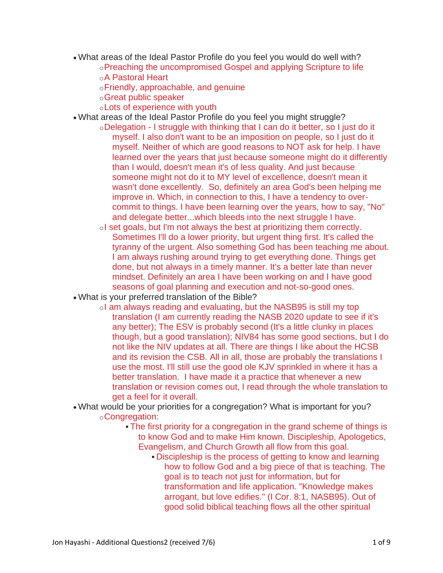- What areas of the Ideal Pastor Profile do you feel you would do well with?
	- oPreaching the uncompromised Gospel and applying Scripture to life oA Pastoral Heart
		- oFriendly, approachable, and genuine
		- oGreat public speaker
	- oLots of experience with youth
- What areas of the Ideal Pastor Profile do you feel you might struggle?
	- oDelegation I struggle with thinking that I can do it better, so I just do it myself. I also don't want to be an imposition on people, so I just do it myself. Neither of which are good reasons to NOT ask for help. I have learned over the years that just because someone might do it differently than I would, doesn't mean it's of less quality. And just because someone might not do it to MY level of excellence, doesn't mean it wasn't done excellently. So, definitely an area God's been helping me improve in. Which, in connection to this, I have a tendency to overcommit to things. I have been learning over the years, how to say, "No" and delegate better...which bleeds into the next struggle I have.
	- oI set goals, but I'm not always the best at prioritizing them correctly. Sometimes I'll do a lower priority, but urgent thing first. It's called the tyranny of the urgent. Also something God has been teaching me about. I am always rushing around trying to get everything done. Things get done, but not always in a timely manner. It's a better late than never mindset. Definitely an area I have been working on and I have good seasons of goal planning and execution and not-so-good ones.
- What is your preferred translation of the Bible?
	- oI am always reading and evaluating, but the NASB95 is still my top translation (I am currently reading the NASB 2020 update to see if it's any better); The ESV is probably second (It's a little clunky in places though, but a good translation); NIV84 has some good sections, but I do not like the NIV updates at all. There are things I like about the HCSB and its revision the CSB. All in all, those are probably the translations I use the most. I'll still use the good ole KJV sprinkled in where it has a better translation. I have made it a practice that whenever a new translation or revision comes out, I read through the whole translation to get a feel for it overall.
- What would be your priorities for a congregation? What is important for you? oCongregation:
	- The first priority for a congregation in the grand scheme of things is to know God and to make Him known. Discipleship, Apologetics, Evangelism, and Church Growth all flow from this goal.
		- Discipleship is the process of getting to know and learning how to follow God and a big piece of that is teaching. The goal is to teach not just for information, but for transformation and life application. "Knowledge makes arrogant, but love edifies." (I Cor. 8:1, NASB95). Out of good solid biblical teaching flows all the other spiritual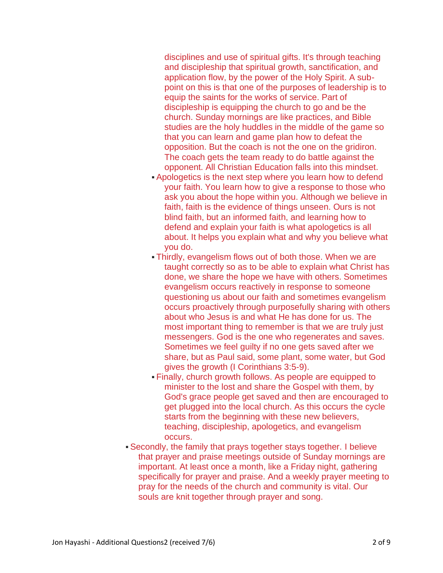disciplines and use of spiritual gifts. It's through teaching and discipleship that spiritual growth, sanctification, and application flow, by the power of the Holy Spirit. A subpoint on this is that one of the purposes of leadership is to equip the saints for the works of service. Part of discipleship is equipping the church to go and be the church. Sunday mornings are like practices, and Bible studies are the holy huddles in the middle of the game so that you can learn and game plan how to defeat the opposition. But the coach is not the one on the gridiron. The coach gets the team ready to do battle against the opponent. All Christian Education falls into this mindset.

- Apologetics is the next step where you learn how to defend your faith. You learn how to give a response to those who ask you about the hope within you. Although we believe in faith, faith is the evidence of things unseen. Ours is not blind faith, but an informed faith, and learning how to defend and explain your faith is what apologetics is all about. It helps you explain what and why you believe what you do.
- Thirdly, evangelism flows out of both those. When we are taught correctly so as to be able to explain what Christ has done, we share the hope we have with others. Sometimes evangelism occurs reactively in response to someone questioning us about our faith and sometimes evangelism occurs proactively through purposefully sharing with others about who Jesus is and what He has done for us. The most important thing to remember is that we are truly just messengers. God is the one who regenerates and saves. Sometimes we feel guilty if no one gets saved after we share, but as Paul said, some plant, some water, but God gives the growth (I Corinthians 3:5-9).
- Finally, church growth follows. As people are equipped to minister to the lost and share the Gospel with them, by God's grace people get saved and then are encouraged to get plugged into the local church. As this occurs the cycle starts from the beginning with these new believers, teaching, discipleship, apologetics, and evangelism occurs.
- Secondly, the family that prays together stays together. I believe that prayer and praise meetings outside of Sunday mornings are important. At least once a month, like a Friday night, gathering specifically for prayer and praise. And a weekly prayer meeting to pray for the needs of the church and community is vital. Our souls are knit together through prayer and song.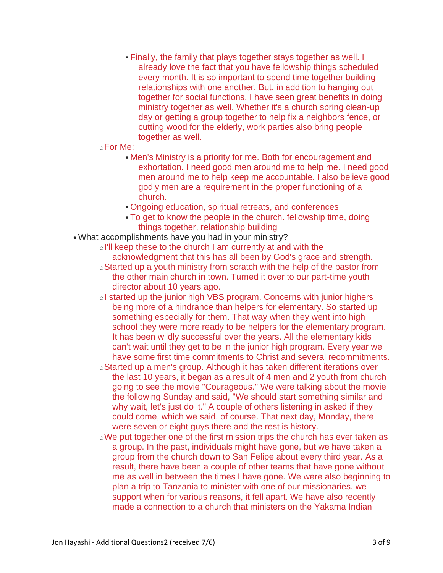▪ Finally, the family that plays together stays together as well. I already love the fact that you have fellowship things scheduled every month. It is so important to spend time together building relationships with one another. But, in addition to hanging out together for social functions, I have seen great benefits in doing ministry together as well. Whether it's a church spring clean-up day or getting a group together to help fix a neighbors fence, or cutting wood for the elderly, work parties also bring people together as well.

## oFor Me:

- **. Men's Ministry is a priority for me. Both for encouragement and** exhortation. I need good men around me to help me. I need good men around me to help keep me accountable. I also believe good godly men are a requirement in the proper functioning of a church.
- Ongoing education, spiritual retreats, and conferences
- To get to know the people in the church, fellowship time, doing things together, relationship building
- What accomplishments have you had in your ministry?
	- oI'll keep these to the church I am currently at and with the acknowledgment that this has all been by God's grace and strength.
	- oStarted up a youth ministry from scratch with the help of the pastor from the other main church in town. Turned it over to our part-time youth director about 10 years ago.
	- oI started up the junior high VBS program. Concerns with junior highers being more of a hindrance than helpers for elementary. So started up something especially for them. That way when they went into high school they were more ready to be helpers for the elementary program. It has been wildly successful over the years. All the elementary kids can't wait until they get to be in the junior high program. Every year we have some first time commitments to Christ and several recommitments.
	- oStarted up a men's group. Although it has taken different iterations over the last 10 years, it began as a result of 4 men and 2 youth from church going to see the movie "Courageous." We were talking about the movie the following Sunday and said, "We should start something similar and why wait, let's just do it." A couple of others listening in asked if they could come, which we said, of course. That next day, Monday, there were seven or eight guys there and the rest is history.
	- oWe put together one of the first mission trips the church has ever taken as a group. In the past, individuals might have gone, but we have taken a group from the church down to San Felipe about every third year. As a result, there have been a couple of other teams that have gone without me as well in between the times I have gone. We were also beginning to plan a trip to Tanzania to minister with one of our missionaries, we support when for various reasons, it fell apart. We have also recently made a connection to a church that ministers on the Yakama Indian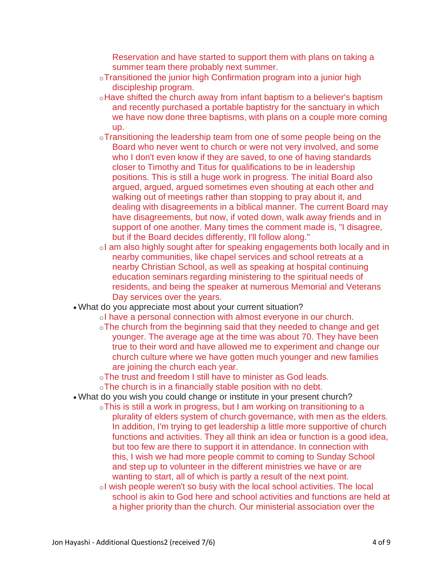Reservation and have started to support them with plans on taking a summer team there probably next summer.

- oTransitioned the junior high Confirmation program into a junior high discipleship program.
- oHave shifted the church away from infant baptism to a believer's baptism and recently purchased a portable baptistry for the sanctuary in which we have now done three baptisms, with plans on a couple more coming up.
- oTransitioning the leadership team from one of some people being on the Board who never went to church or were not very involved, and some who I don't even know if they are saved, to one of having standards closer to Timothy and Titus for qualifications to be in leadership positions. This is still a huge work in progress. The initial Board also argued, argued, argued sometimes even shouting at each other and walking out of meetings rather than stopping to pray about it, and dealing with disagreements in a biblical manner. The current Board may have disagreements, but now, if voted down, walk away friends and in support of one another. Many times the comment made is, "I disagree, but if the Board decides differently, I'll follow along."
- oI am also highly sought after for speaking engagements both locally and in nearby communities, like chapel services and school retreats at a nearby Christian School, as well as speaking at hospital continuing education seminars regarding ministering to the spiritual needs of residents, and being the speaker at numerous Memorial and Veterans Day services over the years.
- What do you appreciate most about your current situation?
	- oI have a personal connection with almost everyone in our church.
		- oThe church from the beginning said that they needed to change and get younger. The average age at the time was about 70. They have been true to their word and have allowed me to experiment and change our church culture where we have gotten much younger and new families are joining the church each year.
		- oThe trust and freedom I still have to minister as God leads.
		- oThe church is in a financially stable position with no debt.
- What do you wish you could change or institute in your present church?
	- oThis is still a work in progress, but I am working on transitioning to a plurality of elders system of church governance, with men as the elders. In addition, I'm trying to get leadership a little more supportive of church functions and activities. They all think an idea or function is a good idea, but too few are there to support it in attendance. In connection with this, I wish we had more people commit to coming to Sunday School and step up to volunteer in the different ministries we have or are wanting to start, all of which is partly a result of the next point.
	- oI wish people weren't so busy with the local school activities. The local school is akin to God here and school activities and functions are held at a higher priority than the church. Our ministerial association over the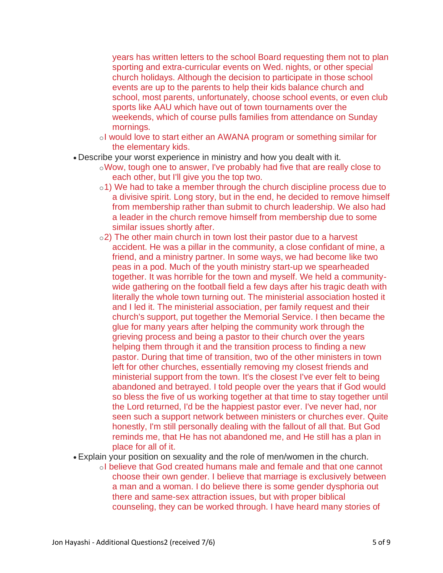years has written letters to the school Board requesting them not to plan sporting and extra-curricular events on Wed. nights, or other special church holidays. Although the decision to participate in those school events are up to the parents to help their kids balance church and school, most parents, unfortunately, choose school events, or even club sports like AAU which have out of town tournaments over the weekends, which of course pulls families from attendance on Sunday mornings.

- oI would love to start either an AWANA program or something similar for the elementary kids.
- Describe your worst experience in ministry and how you dealt with it.
	- oWow, tough one to answer, I've probably had five that are really close to each other, but I'll give you the top two.
	- o1) We had to take a member through the church discipline process due to a divisive spirit. Long story, but in the end, he decided to remove himself from membership rather than submit to church leadership. We also had a leader in the church remove himself from membership due to some similar issues shortly after.
	- $\circ$ 2) The other main church in town lost their pastor due to a harvest accident. He was a pillar in the community, a close confidant of mine, a friend, and a ministry partner. In some ways, we had become like two peas in a pod. Much of the youth ministry start-up we spearheaded together. It was horrible for the town and myself. We held a communitywide gathering on the football field a few days after his tragic death with literally the whole town turning out. The ministerial association hosted it and I led it. The ministerial association, per family request and their church's support, put together the Memorial Service. I then became the glue for many years after helping the community work through the grieving process and being a pastor to their church over the years helping them through it and the transition process to finding a new pastor. During that time of transition, two of the other ministers in town left for other churches, essentially removing my closest friends and ministerial support from the town. It's the closest I've ever felt to being abandoned and betrayed. I told people over the years that if God would so bless the five of us working together at that time to stay together until the Lord returned, I'd be the happiest pastor ever. I've never had, nor seen such a support network between ministers or churches ever. Quite honestly, I'm still personally dealing with the fallout of all that. But God reminds me, that He has not abandoned me, and He still has a plan in place for all of it.
- Explain your position on sexuality and the role of men/women in the church.
	- oI believe that God created humans male and female and that one cannot choose their own gender. I believe that marriage is exclusively between a man and a woman. I do believe there is some gender dysphoria out there and same-sex attraction issues, but with proper biblical counseling, they can be worked through. I have heard many stories of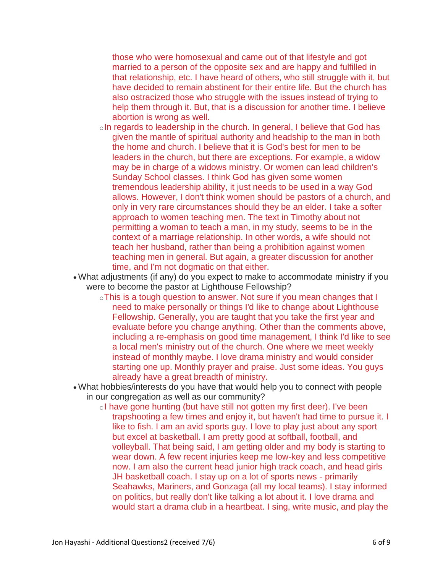those who were homosexual and came out of that lifestyle and got married to a person of the opposite sex and are happy and fulfilled in that relationship, etc. I have heard of others, who still struggle with it, but have decided to remain abstinent for their entire life. But the church has also ostracized those who struggle with the issues instead of trying to help them through it. But, that is a discussion for another time. I believe abortion is wrong as well.

- oIn regards to leadership in the church. In general, I believe that God has given the mantle of spiritual authority and headship to the man in both the home and church. I believe that it is God's best for men to be leaders in the church, but there are exceptions. For example, a widow may be in charge of a widows ministry. Or women can lead children's Sunday School classes. I think God has given some women tremendous leadership ability, it just needs to be used in a way God allows. However, I don't think women should be pastors of a church, and only in very rare circumstances should they be an elder. I take a softer approach to women teaching men. The text in Timothy about not permitting a woman to teach a man, in my study, seems to be in the context of a marriage relationship. In other words, a wife should not teach her husband, rather than being a prohibition against women teaching men in general. But again, a greater discussion for another time, and I'm not dogmatic on that either.
- What adjustments (if any) do you expect to make to accommodate ministry if you were to become the pastor at Lighthouse Fellowship?
	- oThis is a tough question to answer. Not sure if you mean changes that I need to make personally or things I'd like to change about Lighthouse Fellowship. Generally, you are taught that you take the first year and evaluate before you change anything. Other than the comments above, including a re-emphasis on good time management, I think I'd like to see a local men's ministry out of the church. One where we meet weekly instead of monthly maybe. I love drama ministry and would consider starting one up. Monthly prayer and praise. Just some ideas. You guys already have a great breadth of ministry.
- What hobbies/interests do you have that would help you to connect with people in our congregation as well as our community?
	- oI have gone hunting (but have still not gotten my first deer). I've been trapshooting a few times and enjoy it, but haven't had time to pursue it. I like to fish. I am an avid sports guy. I love to play just about any sport but excel at basketball. I am pretty good at softball, football, and volleyball. That being said, I am getting older and my body is starting to wear down. A few recent injuries keep me low-key and less competitive now. I am also the current head junior high track coach, and head girls JH basketball coach. I stay up on a lot of sports news - primarily Seahawks, Mariners, and Gonzaga (all my local teams). I stay informed on politics, but really don't like talking a lot about it. I love drama and would start a drama club in a heartbeat. I sing, write music, and play the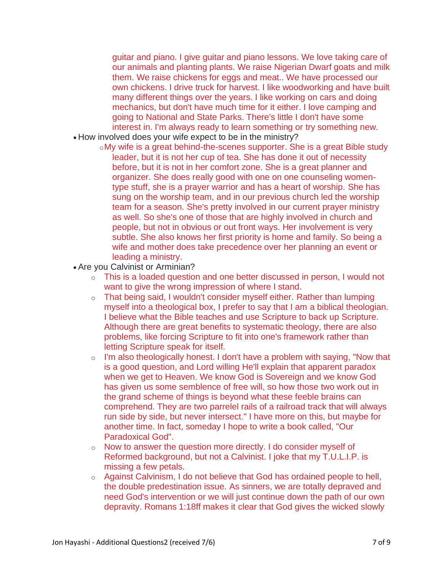guitar and piano. I give guitar and piano lessons. We love taking care of our animals and planting plants. We raise Nigerian Dwarf goats and milk them. We raise chickens for eggs and meat.. We have processed our own chickens. I drive truck for harvest. I like woodworking and have built many different things over the years. I like working on cars and doing mechanics, but don't have much time for it either. I love camping and going to National and State Parks. There's little I don't have some interest in. I'm always ready to learn something or try something new.

- How involved does your wife expect to be in the ministry?
	- oMy wife is a great behind-the-scenes supporter. She is a great Bible study leader, but it is not her cup of tea. She has done it out of necessity before, but it is not in her comfort zone. She is a great planner and organizer. She does really good with one on one counseling womentype stuff, she is a prayer warrior and has a heart of worship. She has sung on the worship team, and in our previous church led the worship team for a season. She's pretty involved in our current prayer ministry as well. So she's one of those that are highly involved in church and people, but not in obvious or out front ways. Her involvement is very subtle. She also knows her first priority is home and family. So being a wife and mother does take precedence over her planning an event or leading a ministry.
- Are you Calvinist or Arminian?
	- $\circ$  This is a loaded question and one better discussed in person, I would not want to give the wrong impression of where I stand.
	- $\circ$  That being said, I wouldn't consider myself either. Rather than lumping myself into a theological box, I prefer to say that I am a biblical theologian. I believe what the Bible teaches and use Scripture to back up Scripture. Although there are great benefits to systematic theology, there are also problems, like forcing Scripture to fit into one's framework rather than letting Scripture speak for itself.
	- $\circ$  I'm also theologically honest. I don't have a problem with saying, "Now that is a good question, and Lord willing He'll explain that apparent paradox when we get to Heaven. We know God is Sovereign and we know God has given us some semblence of free will, so how those two work out in the grand scheme of things is beyond what these feeble brains can comprehend. They are two parrelel rails of a railroad track that will always run side by side, but never intersect." I have more on this, but maybe for another time. In fact, someday I hope to write a book called, "Our Paradoxical God".
	- o Now to answer the question more directly. I do consider myself of Reformed background, but not a Calvinist. I joke that my T.U.L.I.P. is missing a few petals.
	- o Against Calvinism, I do not believe that God has ordained people to hell, the double predestination issue. As sinners, we are totally depraved and need God's intervention or we will just continue down the path of our own depravity. Romans 1:18ff makes it clear that God gives the wicked slowly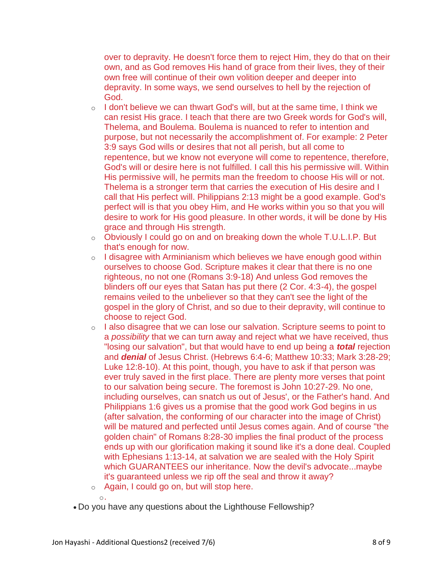over to depravity. He doesn't force them to reject Him, they do that on their own, and as God removes His hand of grace from their lives, they of their own free will continue of their own volition deeper and deeper into depravity. In some ways, we send ourselves to hell by the rejection of God.

- o I don't believe we can thwart God's will, but at the same time, I think we can resist His grace. I teach that there are two Greek words for God's will, Thelema, and Boulema. Boulema is nuanced to refer to intention and purpose, but not necessarily the accomplishment of. For example: 2 Peter 3:9 says God wills or desires that not all perish, but all come to repentence, but we know not everyone will come to repentence, therefore, God's will or desire here is not fulfilled. I call this his permissive will. Within His permissive will, he permits man the freedom to choose His will or not. Thelema is a stronger term that carries the execution of His desire and I call that His perfect will. Philippians 2:13 might be a good example. God's perfect will is that you obey Him, and He works within you so that you will desire to work for His good pleasure. In other words, it will be done by His grace and through His strength.
- o Obviously I could go on and on breaking down the whole T.U.L.I.P. But that's enough for now.
- $\circ$  I disagree with Arminianism which believes we have enough good within ourselves to choose God. Scripture makes it clear that there is no one righteous, no not one (Romans 3:9-18) And unless God removes the blinders off our eyes that Satan has put there (2 Cor. 4:3-4), the gospel remains veiled to the unbeliever so that they can't see the light of the gospel in the glory of Christ, and so due to their depravity, will continue to choose to reject God.
- o I also disagree that we can lose our salvation. Scripture seems to point to a *possibility* that we can turn away and reject what we have received, thus "losing our salvation", but that would have to end up being a *total* rejection and *denial* of Jesus Christ. (Hebrews 6:4-6; Matthew 10:33; Mark 3:28-29; Luke 12:8-10). At this point, though, you have to ask if that person was ever truly saved in the first place. There are plenty more verses that point to our salvation being secure. The foremost is John 10:27-29. No one, including ourselves, can snatch us out of Jesus', or the Father's hand. And Philippians 1:6 gives us a promise that the good work God begins in us (after salvation, the conforming of our character into the image of Christ) will be matured and perfected until Jesus comes again. And of course "the golden chain" of Romans 8:28-30 implies the final product of the process ends up with our glorification making it sound like it's a done deal. Coupled with Ephesians 1:13-14, at salvation we are sealed with the Holy Spirit which GUARANTEES our inheritance. Now the devil's advocate...maybe it's guaranteed unless we rip off the seal and throw it away?
- o Again, I could go on, but will stop here.
- o.
- Do you have any questions about the Lighthouse Fellowship?